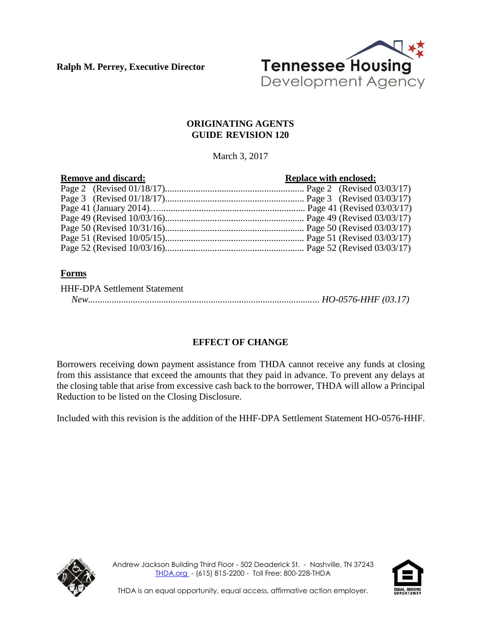**Ralph M. Perrey, Executive Director**



### **ORIGINATING AGENTS GUIDE REVISION 120**

March 3, 2017

| <b>Remove and discard:</b> | <b>Replace with enclosed:</b> |
|----------------------------|-------------------------------|
|                            |                               |
|                            |                               |
|                            |                               |
|                            |                               |
|                            |                               |
|                            |                               |
|                            |                               |

# **Forms**

| <b>HHF-DPA Settlement Statement</b> |  |
|-------------------------------------|--|
|                                     |  |

# **EFFECT OF CHANGE**

Borrowers receiving down payment assistance from THDA cannot receive any funds at closing from this assistance that exceed the amounts that they paid in advance. To prevent any delays at the closing table that arise from excessive cash back to the borrower, THDA will allow a Principal Reduction to be listed on the Closing Disclosure.

Included with this revision is the addition of the HHF-DPA Settlement Statement HO-0576-HHF.



Andrew Jackson Building Third Floor - 502 Deaderick St. - Nashville, TN 37243 [THDA.org](http://www.thda.org/) - (615) 815-2200 - Toll Free: 800-228-THDA

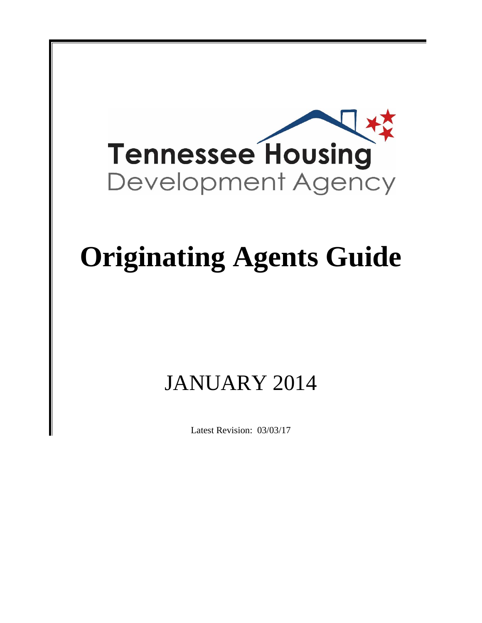

# **Originating Agents Guide**

# JANUARY 2014

Latest Revision: 03/03/17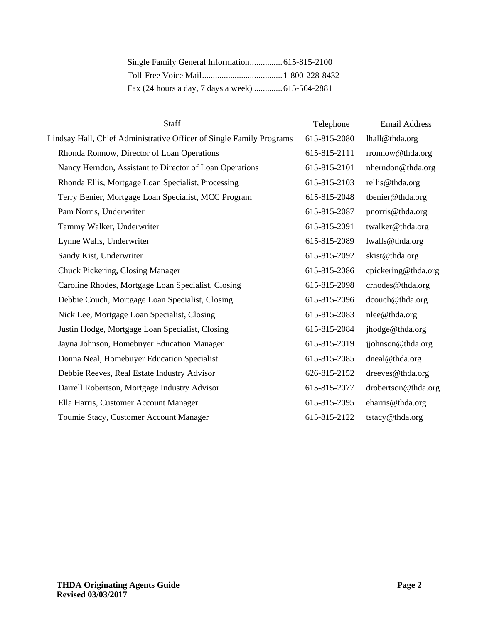| <b>Staff</b>                                                         | Telephone    | <b>Email Address</b> |
|----------------------------------------------------------------------|--------------|----------------------|
| Lindsay Hall, Chief Administrative Officer of Single Family Programs | 615-815-2080 | lhall@thda.org       |
| Rhonda Ronnow, Director of Loan Operations                           | 615-815-2111 | rronnow@thda.org     |
| Nancy Herndon, Assistant to Director of Loan Operations              | 615-815-2101 | nherndon@thda.org    |
| Rhonda Ellis, Mortgage Loan Specialist, Processing                   | 615-815-2103 | rellis@thda.org      |
| Terry Benier, Mortgage Loan Specialist, MCC Program                  | 615-815-2048 | tbenier@thda.org     |
| Pam Norris, Underwriter                                              | 615-815-2087 | pnorris@thda.org     |
| Tammy Walker, Underwriter                                            | 615-815-2091 | twalker@thda.org     |
| Lynne Walls, Underwriter                                             | 615-815-2089 | lwalls@thda.org      |
| Sandy Kist, Underwriter                                              | 615-815-2092 | skist@thda.org       |
| Chuck Pickering, Closing Manager                                     | 615-815-2086 | cpickering@thda.org  |
| Caroline Rhodes, Mortgage Loan Specialist, Closing                   | 615-815-2098 | crhodes@thda.org     |
| Debbie Couch, Mortgage Loan Specialist, Closing                      | 615-815-2096 | dcouch@thda.org      |
| Nick Lee, Mortgage Loan Specialist, Closing                          | 615-815-2083 | nlee@thda.org        |
| Justin Hodge, Mortgage Loan Specialist, Closing                      | 615-815-2084 | jhodge@thda.org      |
| Jayna Johnson, Homebuyer Education Manager                           | 615-815-2019 | jjohnson@thda.org    |
| Donna Neal, Homebuyer Education Specialist                           | 615-815-2085 | dneal@thda.org       |
| Debbie Reeves, Real Estate Industry Advisor                          | 626-815-2152 | dreeves@thda.org     |
| Darrell Robertson, Mortgage Industry Advisor                         | 615-815-2077 | drobertson@thda.org  |
| Ella Harris, Customer Account Manager                                | 615-815-2095 | eharris@thda.org     |
| Toumie Stacy, Customer Account Manager                               | 615-815-2122 | tstacy@thda.org      |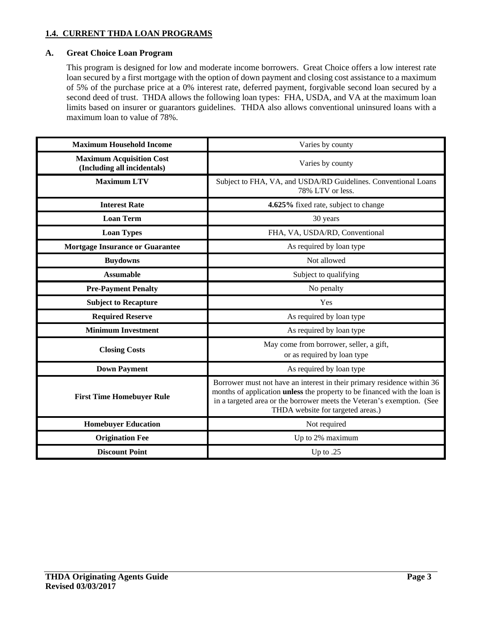#### **1.4. CURRENT THDA LOAN PROGRAMS**

#### **A. Great Choice Loan Program**

This program is designed for low and moderate income borrowers. Great Choice offers a low interest rate loan secured by a first mortgage with the option of down payment and closing cost assistance to a maximum of 5% of the purchase price at a 0% interest rate, deferred payment, forgivable second loan secured by a second deed of trust. THDA allows the following loan types: FHA, USDA, and VA at the maximum loan limits based on insurer or guarantors guidelines. THDA also allows conventional uninsured loans with a maximum loan to value of 78%.

| <b>Maximum Household Income</b>                                | Varies by county                                                                                                                                                                                                                                                           |
|----------------------------------------------------------------|----------------------------------------------------------------------------------------------------------------------------------------------------------------------------------------------------------------------------------------------------------------------------|
| <b>Maximum Acquisition Cost</b><br>(Including all incidentals) | Varies by county                                                                                                                                                                                                                                                           |
| <b>Maximum LTV</b>                                             | Subject to FHA, VA, and USDA/RD Guidelines. Conventional Loans<br>78% LTV or less.                                                                                                                                                                                         |
| <b>Interest Rate</b>                                           | 4.625% fixed rate, subject to change                                                                                                                                                                                                                                       |
| <b>Loan Term</b>                                               | 30 years                                                                                                                                                                                                                                                                   |
| <b>Loan Types</b>                                              | FHA, VA, USDA/RD, Conventional                                                                                                                                                                                                                                             |
| <b>Mortgage Insurance or Guarantee</b>                         | As required by loan type                                                                                                                                                                                                                                                   |
| <b>Buydowns</b>                                                | Not allowed                                                                                                                                                                                                                                                                |
| <b>Assumable</b>                                               | Subject to qualifying                                                                                                                                                                                                                                                      |
| <b>Pre-Payment Penalty</b>                                     | No penalty                                                                                                                                                                                                                                                                 |
| <b>Subject to Recapture</b>                                    | Yes                                                                                                                                                                                                                                                                        |
| <b>Required Reserve</b>                                        | As required by loan type                                                                                                                                                                                                                                                   |
| <b>Minimum Investment</b>                                      | As required by loan type                                                                                                                                                                                                                                                   |
| <b>Closing Costs</b>                                           | May come from borrower, seller, a gift,<br>or as required by loan type                                                                                                                                                                                                     |
| <b>Down Payment</b>                                            | As required by loan type                                                                                                                                                                                                                                                   |
| <b>First Time Homebuyer Rule</b>                               | Borrower must not have an interest in their primary residence within 36<br>months of application <b>unless</b> the property to be financed with the loan is<br>in a targeted area or the borrower meets the Veteran's exemption. (See<br>THDA website for targeted areas.) |
| <b>Homebuyer Education</b>                                     | Not required                                                                                                                                                                                                                                                               |
| <b>Origination Fee</b>                                         | Up to 2% maximum                                                                                                                                                                                                                                                           |
| <b>Discount Point</b>                                          | Up to .25                                                                                                                                                                                                                                                                  |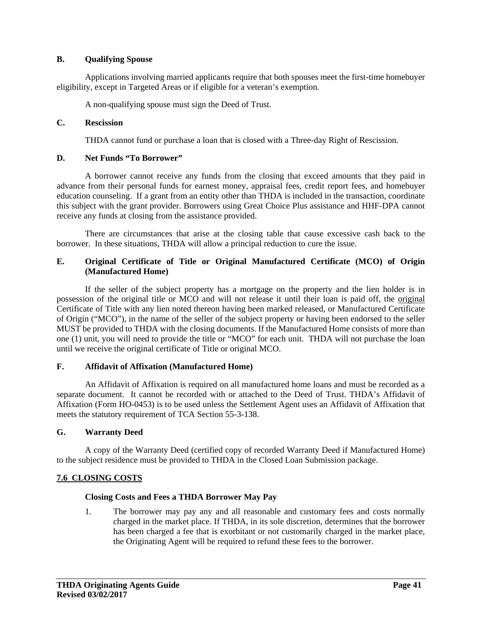#### **B. Qualifying Spouse**

Applications involving married applicants require that both spouses meet the first-time homebuyer eligibility, except in Targeted Areas or if eligible for a veteran's exemption.

A non-qualifying spouse must sign the Deed of Trust.

#### **C. Rescission**

THDA cannot fund or purchase a loan that is closed with a Three-day Right of Rescission.

#### **D. Net Funds "To Borrower"**

A borrower cannot receive any funds from the closing that exceed amounts that they paid in advance from their personal funds for earnest money, appraisal fees, credit report fees, and homebuyer education counseling. If a grant from an entity other than THDA is included in the transaction, coordinate this subject with the grant provider. Borrowers using Great Choice Plus assistance and HHF-DPA cannot receive any funds at closing from the assistance provided.

There are circumstances that arise at the closing table that cause excessive cash back to the borrower. In these situations, THDA will allow a principal reduction to cure the issue.

#### **E. Original Certificate of Title or Original Manufactured Certificate (MCO) of Origin (Manufactured Home)**

If the seller of the subject property has a mortgage on the property and the lien holder is in possession of the original title or MCO and will not release it until their loan is paid off, the original Certificate of Title with any lien noted thereon having been marked released, or Manufactured Certificate of Origin ("MCO"), in the name of the seller of the subject property or having been endorsed to the seller MUST be provided to THDA with the closing documents. If the Manufactured Home consists of more than one (1) unit, you will need to provide the title or "MCO" for each unit. THDA will not purchase the loan until we receive the original certificate of Title or original MCO.

#### **F. Affidavit of Affixation (Manufactured Home)**

An Affidavit of Affixation is required on all manufactured home loans and must be recorded as a separate document. It cannot be recorded with or attached to the Deed of Trust. THDA's Affidavit of Affixation (Form HO-0453) is to be used unless the Settlement Agent uses an Affidavit of Affixation that meets the statutory requirement of TCA Section 55-3-138.

#### **G. Warranty Deed**

A copy of the Warranty Deed (certified copy of recorded Warranty Deed if Manufactured Home) to the subject residence must be provided to THDA in the Closed Loan Submission package.

#### **7.6 CLOSING COSTS**

#### **Closing Costs and Fees a THDA Borrower May Pay**

1. The borrower may pay any and all reasonable and customary fees and costs normally charged in the market place. If THDA, in its sole discretion, determines that the borrower has been charged a fee that is exorbitant or not customarily charged in the market place, the Originating Agent will be required to refund these fees to the borrower.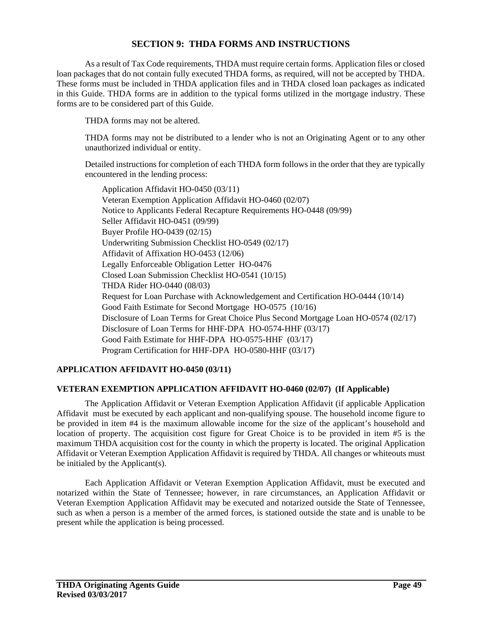#### **SECTION 9: THDA FORMS AND INSTRUCTIONS**

As a result of Tax Code requirements, THDA must require certain forms. Application files or closed loan packages that do not contain fully executed THDA forms, as required, will not be accepted by THDA. These forms must be included in THDA application files and in THDA closed loan packages as indicated in this Guide. THDA forms are in addition to the typical forms utilized in the mortgage industry. These forms are to be considered part of this Guide.

THDA forms may not be altered.

THDA forms may not be distributed to a lender who is not an Originating Agent or to any other unauthorized individual or entity.

Detailed instructions for completion of each THDA form follows in the order that they are typically encountered in the lending process:

Application Affidavit HO-0450 (03/11) Veteran Exemption Application Affidavit HO-0460 (02/07) Notice to Applicants Federal Recapture Requirements HO-0448 (09/99) Seller Affidavit HO-0451 (09/99) Buyer Profile HO-0439 (02/15) Underwriting Submission Checklist HO-0549 (02/17) Affidavit of Affixation HO-0453 (12/06) Legally Enforceable Obligation Letter HO-0476 Closed Loan Submission Checklist HO-0541 (10/15) THDA Rider HO-0440 (08/03) Request for Loan Purchase with Acknowledgement and Certification HO-0444 (10/14) Good Faith Estimate for Second Mortgage HO-0575 (10/16) Disclosure of Loan Terms for Great Choice Plus Second Mortgage Loan HO-0574 (02/17) Disclosure of Loan Terms for HHF-DPA HO-0574-HHF (03/17) Good Faith Estimate for HHF-DPA HO-0575-HHF (03/17) Program Certification for HHF-DPA HO-0580-HHF (03/17)

#### **APPLICATION AFFIDAVIT HO-0450 (03/11)**

#### **VETERAN EXEMPTION APPLICATION AFFIDAVIT HO-0460 (02/07) (If Applicable)**

The Application Affidavit or Veteran Exemption Application Affidavit (if applicable Application Affidavit must be executed by each applicant and non-qualifying spouse. The household income figure to be provided in item #4 is the maximum allowable income for the size of the applicant's household and location of property. The acquisition cost figure for Great Choice is to be provided in item #5 is the maximum THDA acquisition cost for the county in which the property is located. The original Application Affidavit or Veteran Exemption Application Affidavit is required by THDA. All changes or whiteouts must be initialed by the Applicant(s).

Each Application Affidavit or Veteran Exemption Application Affidavit, must be executed and notarized within the State of Tennessee; however, in rare circumstances, an Application Affidavit or Veteran Exemption Application Affidavit may be executed and notarized outside the State of Tennessee, such as when a person is a member of the armed forces, is stationed outside the state and is unable to be present while the application is being processed.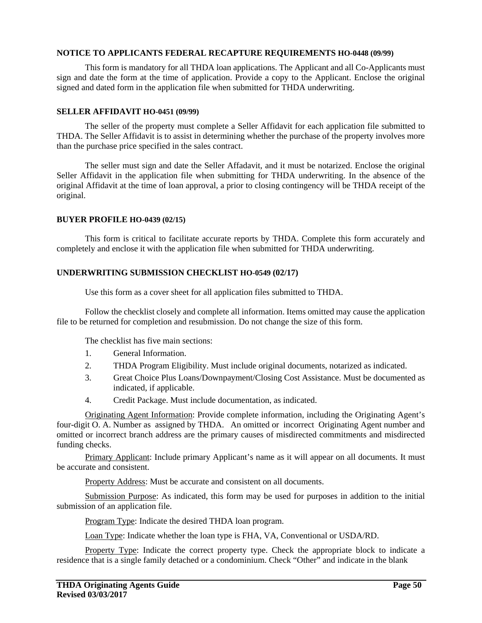#### **NOTICE TO APPLICANTS FEDERAL RECAPTURE REQUIREMENTS HO-0448 (09/99)**

This form is mandatory for all THDA loan applications. The Applicant and all Co-Applicants must sign and date the form at the time of application. Provide a copy to the Applicant. Enclose the original signed and dated form in the application file when submitted for THDA underwriting.

#### **SELLER AFFIDAVIT HO-0451 (09/99)**

The seller of the property must complete a Seller Affidavit for each application file submitted to THDA. The Seller Affidavit is to assist in determining whether the purchase of the property involves more than the purchase price specified in the sales contract.

The seller must sign and date the Seller Affadavit, and it must be notarized. Enclose the original Seller Affidavit in the application file when submitting for THDA underwriting. In the absence of the original Affidavit at the time of loan approval, a prior to closing contingency will be THDA receipt of the original.

#### **BUYER PROFILE HO-0439 (02/15)**

This form is critical to facilitate accurate reports by THDA. Complete this form accurately and completely and enclose it with the application file when submitted for THDA underwriting.

#### **UNDERWRITING SUBMISSION CHECKLIST HO-0549 (02/17)**

Use this form as a cover sheet for all application files submitted to THDA.

Follow the checklist closely and complete all information. Items omitted may cause the application file to be returned for completion and resubmission. Do not change the size of this form.

The checklist has five main sections:

- 1. General Information.
- 2. THDA Program Eligibility. Must include original documents, notarized as indicated.
- 3. Great Choice Plus Loans/Downpayment/Closing Cost Assistance. Must be documented as indicated, if applicable.
- 4. Credit Package. Must include documentation, as indicated.

Originating Agent Information: Provide complete information, including the Originating Agent's four-digit O. A. Number as assigned by THDA. An omitted or incorrect Originating Agent number and omitted or incorrect branch address are the primary causes of misdirected commitments and misdirected funding checks.

Primary Applicant: Include primary Applicant's name as it will appear on all documents. It must be accurate and consistent.

Property Address: Must be accurate and consistent on all documents.

Submission Purpose: As indicated, this form may be used for purposes in addition to the initial submission of an application file.

Program Type: Indicate the desired THDA loan program.

Loan Type: Indicate whether the loan type is FHA, VA, Conventional or USDA/RD.

Property Type: Indicate the correct property type. Check the appropriate block to indicate a residence that is a single family detached or a condominium. Check "Other" and indicate in the blank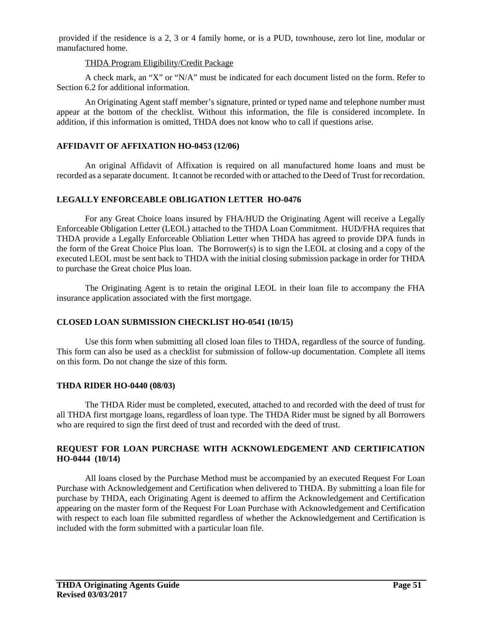provided if the residence is a 2, 3 or 4 family home, or is a PUD, townhouse, zero lot line, modular or manufactured home.

#### THDA Program Eligibility/Credit Package

A check mark, an "X" or "N/A" must be indicated for each document listed on the form. Refer to Section 6.2 for additional information.

An Originating Agent staff member's signature, printed or typed name and telephone number must appear at the bottom of the checklist. Without this information, the file is considered incomplete. In addition, if this information is omitted, THDA does not know who to call if questions arise.

#### **AFFIDAVIT OF AFFIXATION HO-0453 (12/06)**

An original Affidavit of Affixation is required on all manufactured home loans and must be recorded as a separate document. It cannot be recorded with or attached to the Deed of Trust for recordation.

#### **LEGALLY ENFORCEABLE OBLIGATION LETTER HO-0476**

For any Great Choice loans insured by FHA/HUD the Originating Agent will receive a Legally Enforceable Obligation Letter (LEOL) attached to the THDA Loan Commitment. HUD/FHA requires that THDA provide a Legally Enforceable Obliation Letter when THDA has agreed to provide DPA funds in the form of the Great Choice Plus loan. The Borrower(s) is to sign the LEOL at closing and a copy of the executed LEOL must be sent back to THDA with the initial closing submission package in order for THDA to purchase the Great choice Plus loan.

The Originating Agent is to retain the original LEOL in their loan file to accompany the FHA insurance application associated with the first mortgage.

#### **CLOSED LOAN SUBMISSION CHECKLIST HO-0541 (10/15)**

Use this form when submitting all closed loan files to THDA, regardless of the source of funding. This form can also be used as a checklist for submission of follow-up documentation. Complete all items on this form. Do not change the size of this form.

#### **THDA RIDER HO-0440 (08/03)**

The THDA Rider must be completed, executed, attached to and recorded with the deed of trust for all THDA first mortgage loans, regardless of loan type. The THDA Rider must be signed by all Borrowers who are required to sign the first deed of trust and recorded with the deed of trust.

#### **REQUEST FOR LOAN PURCHASE WITH ACKNOWLEDGEMENT AND CERTIFICATION HO-0444 (10/14)**

All loans closed by the Purchase Method must be accompanied by an executed Request For Loan Purchase with Acknowledgement and Certification when delivered to THDA. By submitting a loan file for purchase by THDA, each Originating Agent is deemed to affirm the Acknowledgement and Certification appearing on the master form of the Request For Loan Purchase with Acknowledgement and Certification with respect to each loan file submitted regardless of whether the Acknowledgement and Certification is included with the form submitted with a particular loan file.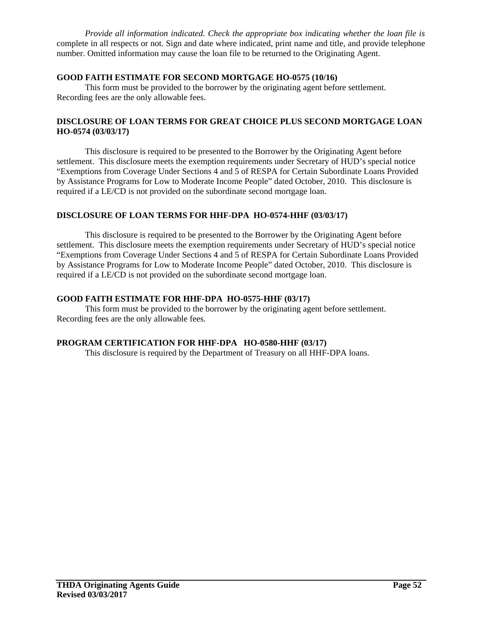*Provide all information indicated. Check the appropriate box indicating whether the loan file is* complete in all respects or not. Sign and date where indicated, print name and title, and provide telephone number. Omitted information may cause the loan file to be returned to the Originating Agent.

#### **GOOD FAITH ESTIMATE FOR SECOND MORTGAGE HO-0575 (10/16)**

This form must be provided to the borrower by the originating agent before settlement. Recording fees are the only allowable fees.

#### **DISCLOSURE OF LOAN TERMS FOR GREAT CHOICE PLUS SECOND MORTGAGE LOAN HO-0574 (03/03/17)**

This disclosure is required to be presented to the Borrower by the Originating Agent before settlement. This disclosure meets the exemption requirements under Secretary of HUD's special notice "Exemptions from Coverage Under Sections 4 and 5 of RESPA for Certain Subordinate Loans Provided by Assistance Programs for Low to Moderate Income People" dated October, 2010. This disclosure is required if a LE/CD is not provided on the subordinate second mortgage loan.

#### **DISCLOSURE OF LOAN TERMS FOR HHF-DPA HO-0574-HHF (03/03/17)**

This disclosure is required to be presented to the Borrower by the Originating Agent before settlement. This disclosure meets the exemption requirements under Secretary of HUD's special notice "Exemptions from Coverage Under Sections 4 and 5 of RESPA for Certain Subordinate Loans Provided by Assistance Programs for Low to Moderate Income People" dated October, 2010. This disclosure is required if a LE/CD is not provided on the subordinate second mortgage loan.

#### **GOOD FAITH ESTIMATE FOR HHF-DPA HO-0575-HHF (03/17)**

This form must be provided to the borrower by the originating agent before settlement. Recording fees are the only allowable fees.

#### **PROGRAM CERTIFICATION FOR HHF-DPA HO-0580-HHF (03/17)**

This disclosure is required by the Department of Treasury on all HHF-DPA loans.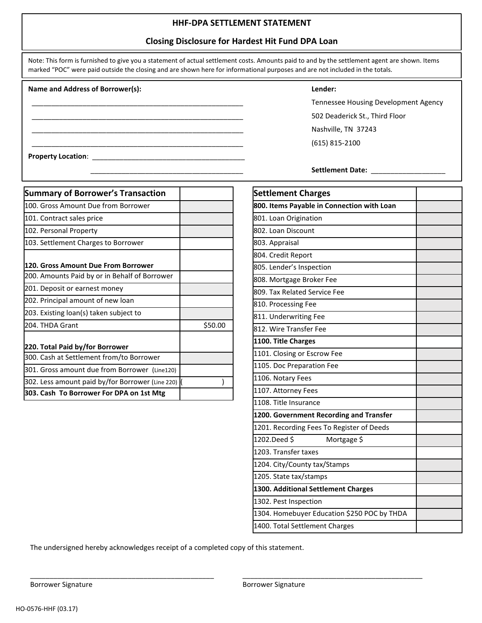#### **HHF-DPA SETTLEMENT STATEMENT**

#### **Closing Disclosure for Hardest Hit Fund DPA Loan**

| Note: This form is furnished to give you a statement of actual settlement costs. Amounts paid to and by the settlement agent are shown. Items |
|-----------------------------------------------------------------------------------------------------------------------------------------------|
| marked "POC" were paid outside the closing and are shown here for informational purposes and are not included in the totals.                  |

#### **Name and Address of Borrower(s): Lender:**

Tennessee Housing Development Agency \_\_\_\_\_\_\_\_\_\_\_\_\_\_\_\_\_\_\_\_\_\_\_\_\_\_\_\_\_\_\_\_\_\_\_\_\_\_\_\_\_\_\_\_\_\_\_\_\_\_\_\_\_\_ 502 Deaderick St., Third Floor Nashville, TN 37243 \_\_\_\_\_\_\_\_\_\_\_\_\_\_\_\_\_\_\_\_\_\_\_\_\_\_\_\_\_\_\_\_\_\_\_\_\_\_\_\_\_\_\_\_\_\_\_\_\_\_\_\_\_\_ (615) 815-2100

\_\_\_\_\_\_\_\_\_\_\_\_\_\_\_\_\_\_\_\_\_\_\_\_\_\_\_\_\_\_\_\_\_\_\_\_\_\_\_ **Settlement Date:** \_\_\_\_\_\_\_\_\_\_\_\_\_\_\_\_\_\_\_

| <b>Summary of Borrower's Transaction</b>         |         |
|--------------------------------------------------|---------|
| 100. Gross Amount Due from Borrower              |         |
| 101. Contract sales price                        |         |
| 102. Personal Property                           |         |
| 103. Settlement Charges to Borrower              |         |
| 120. Gross Amount Due From Borrower              |         |
| 200. Amounts Paid by or in Behalf of Borrower    |         |
| 201. Deposit or earnest money                    |         |
| 202. Principal amount of new loan                |         |
| 203. Existing loan(s) taken subject to           |         |
| 204. THDA Grant                                  | \$50.00 |
| 220. Total Paid by/for Borrower                  |         |
| 300. Cash at Settlement from/to Borrower         |         |
| 301. Gross amount due from Borrower (Line120)    |         |
| 302. Less amount paid by/for Borrower (Line 220) |         |
| 303. Cash To Borrower For DPA on 1st Mtg         |         |

**Property Location**: \_\_\_\_\_\_\_\_\_\_\_\_\_\_\_\_\_\_\_\_\_\_\_\_\_\_\_\_\_\_\_\_\_\_\_\_\_\_\_

| <b>Settlement Charges</b>                   |  |
|---------------------------------------------|--|
| 800. Items Payable in Connection with Loan  |  |
| 801. Loan Origination                       |  |
| 802. Loan Discount                          |  |
| 803. Appraisal                              |  |
| 804. Credit Report                          |  |
| 805. Lender's Inspection                    |  |
| 808. Mortgage Broker Fee                    |  |
| 809. Tax Related Service Fee                |  |
| 810. Processing Fee                         |  |
| 811. Underwriting Fee                       |  |
| 812. Wire Transfer Fee                      |  |
| 1100. Title Charges                         |  |
| 1101. Closing or Escrow Fee                 |  |
| 1105. Doc Preparation Fee                   |  |
| 1106. Notary Fees                           |  |
| 1107. Attorney Fees                         |  |
| 1108. Title Insurance                       |  |
| 1200. Government Recording and Transfer     |  |
| 1201. Recording Fees To Register of Deeds   |  |
| 1202.Deed \$<br>Mortgage \$                 |  |
| 1203. Transfer taxes                        |  |
| 1204. City/County tax/Stamps                |  |
| 1205. State tax/stamps                      |  |
| 1300. Additional Settlement Charges         |  |
| 1302. Pest Inspection                       |  |
| 1304. Homebuyer Education \$250 POC by THDA |  |
| 1400. Total Settlement Charges              |  |

The undersigned hereby acknowledges receipt of a completed copy of this statement.

 $\overline{\phantom{a}}$  , and the contribution of the contribution of the contribution of the contribution of the contribution of the contribution of the contribution of the contribution of the contribution of the contribution of the